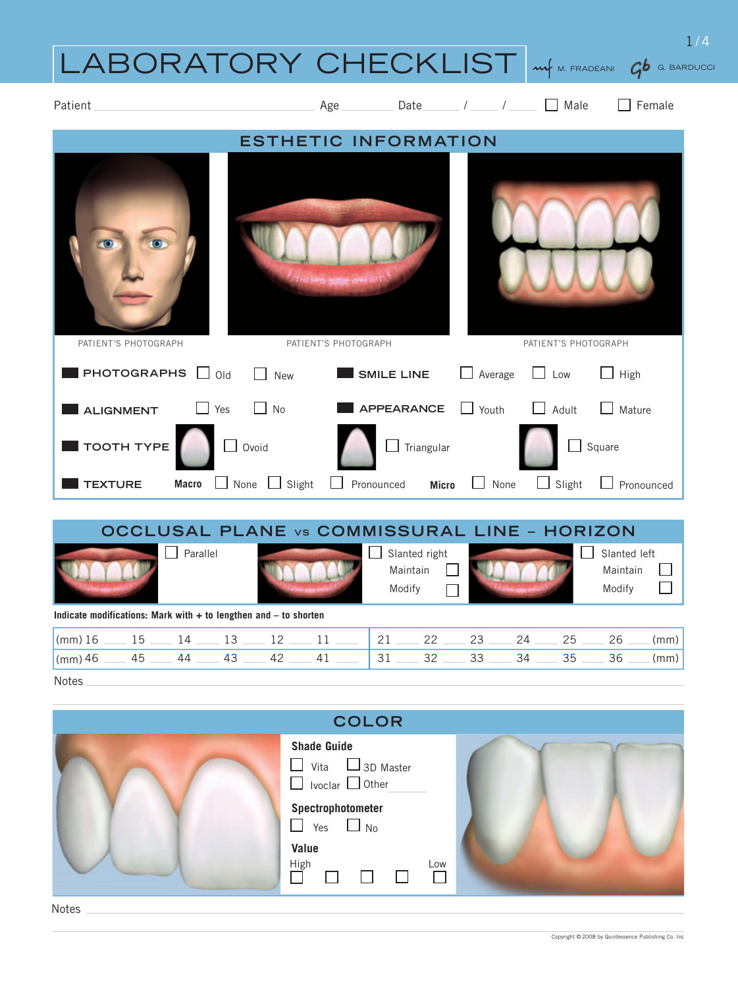## LABORATORY CHECKLIST *(mf m. fradeani)*  $\bm{q}$ *b g. barducc*i



|                                                                      |          |  | <b>OCCLUSAL PLANE vs COMMISSURAL LINE - HORIZON</b>                                                                          |        |                                    |  |                                    |                        |
|----------------------------------------------------------------------|----------|--|------------------------------------------------------------------------------------------------------------------------------|--------|------------------------------------|--|------------------------------------|------------------------|
|                                                                      | Parallel |  |                                                                                                                              | Modify | Slanted right<br>Maintain          |  | Slanted left<br>Maintain<br>Modify |                        |
| Indicate modifications: Mark with $+$ to lengthen and $-$ to shorten |          |  |                                                                                                                              |        |                                    |  |                                    |                        |
|                                                                      |          |  | $\frac{\text{mm}}{26}$ 16 16 16 16 16 16 16 17 18 18 18 19 18 19 19 10 11 11 11 11 11 11 11 11 12 12 12 22 12 23 124 125 126 |        |                                    |  |                                    | $\lceil$ (mm) $\lceil$ |
| $\mathsf{m}$ (mm) 46                                                 |          |  | $-45$ 44 43 42 42                                                                                                            |        | $31 \t 32 \t 33 \t 34 \t 35 \t 36$ |  |                                    | $\lceil$ (mm) $\lceil$ |
| <b>Notes</b>                                                         |          |  |                                                                                                                              |        |                                    |  |                                    |                        |

| <b>COLOR</b>                                                                      |  |
|-----------------------------------------------------------------------------------|--|
| <b>Shade Guide</b><br>$\Box$ Vita $\Box$ 3D Master<br>$\Box$ Ivoclar $\Box$ Other |  |
| Spectrophotometer<br>$\Box$ Yes $\Box$ No                                         |  |
| Value<br>High<br>Low<br>$\Box$                                                    |  |

1/4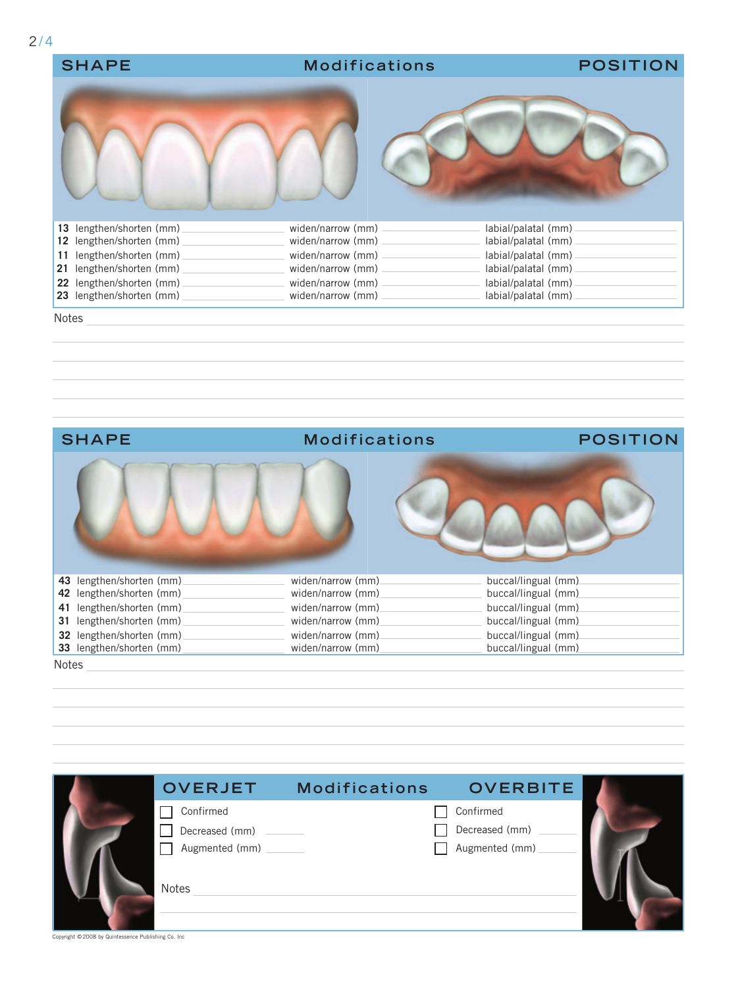| <b>SHAPE</b>                                               | <b>Modifications</b>                     | <b>POSITION</b>                            |
|------------------------------------------------------------|------------------------------------------|--------------------------------------------|
|                                                            |                                          |                                            |
| lengthen/shorten (mm)<br>13                                | widen/narrow (mm)                        | labial/palatal (mm)                        |
| 12 lengthen/shorten (mm)                                   | widen/narrow (mm)                        | labial/palatal (mm)                        |
| lengthen/shorten (mm)<br>11<br>lengthen/shorten (mm)<br>21 | widen/narrow (mm) -<br>widen/narrow (mm) | labial/palatal (mm)<br>labial/palatal (mm) |
|                                                            |                                          |                                            |
| lengthen/shorten (mm)<br>22<br>23 lengthen/shorten (mm)    | widen/narrow (mm)<br>widen/narrow (mm)   | labial/palatal (mm)<br>labial/palatal (mm) |
|                                                            |                                          |                                            |

Notes



| <b>OVERJET</b>                   | <b>Modifications</b> | <b>OVERBITE</b>                  |  |
|----------------------------------|----------------------|----------------------------------|--|
| Confirmed                        |                      | Confirmed                        |  |
| Decreased (mm)<br>Augmented (mm) |                      | Decreased (mm)<br>Augmented (mm) |  |
| Notes                            |                      |                                  |  |
|                                  |                      |                                  |  |

Copyright © 2008 by Quintessence Publishing Co. Inc.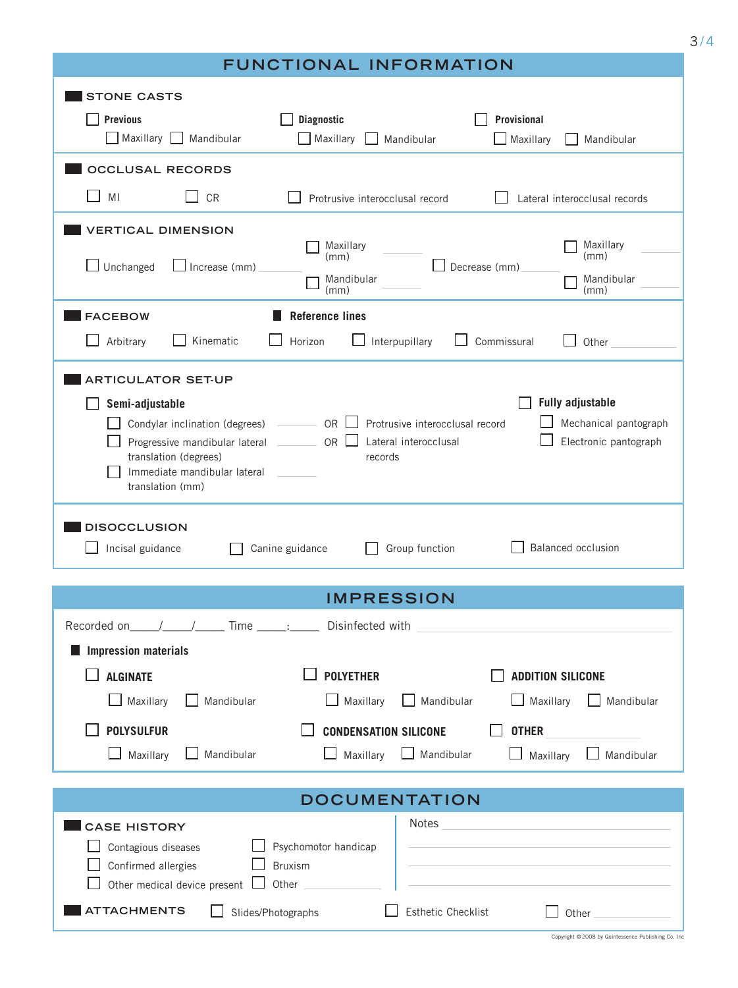|                                                                                                                                                                                                             | FUNCTIONAL INFORMATION                                                                                                                               |                                                                                                        |
|-------------------------------------------------------------------------------------------------------------------------------------------------------------------------------------------------------------|------------------------------------------------------------------------------------------------------------------------------------------------------|--------------------------------------------------------------------------------------------------------|
| <b>STONE CASTS</b><br><b>Previous</b><br>$\Box$ Maxillary $\Box$<br>Mandibular                                                                                                                              | <b>Diagnostic</b><br>$\Box$ Maxillary<br>Mandibular                                                                                                  | <b>Provisional</b><br>$\Box$ Maxillary<br>Mandibular                                                   |
| <b>OCCLUSAL RECORDS</b>                                                                                                                                                                                     |                                                                                                                                                      |                                                                                                        |
| ΜI<br>$\Box$ CR                                                                                                                                                                                             | Protrusive interocclusal record                                                                                                                      | Lateral interocclusal records                                                                          |
| <b>VERTICAL DIMENSION</b>                                                                                                                                                                                   |                                                                                                                                                      |                                                                                                        |
| $\vert$ Unchanged<br>$\Box$ Increase (mm)                                                                                                                                                                   | Maxillary<br>(mm)<br>Mandibular<br>(mm)                                                                                                              | Maxillary<br>(mm)<br>Decrease (mm)<br>Mandibular<br>(mm)                                               |
| <b>FACEBOW</b>                                                                                                                                                                                              | <b>Reference lines</b>                                                                                                                               |                                                                                                        |
| Arbitrary<br>Kinematic                                                                                                                                                                                      | Horizon<br>Interpupillary                                                                                                                            | Commissural<br>Other                                                                                   |
| Semi-adjustable<br>Condylar inclination (degrees)<br>Progressive mandibular lateral<br>translation (degrees)<br>Immediate mandibular lateral<br>translation (mm)<br><b>DISOCCLUSION</b><br>Incisal guidance | $\Box$ OR $\Box$<br>Protrusive interocclusal record<br>OR<br>Lateral interocclusal<br>$\sim 10^{-1}$<br>records<br>Canine guidance<br>Group function | <b>Fully adjustable</b><br>Mechanical pantograph<br>Electronic pantograph<br><b>Balanced occlusion</b> |
|                                                                                                                                                                                                             | <b>IMPRESSION</b>                                                                                                                                    |                                                                                                        |
|                                                                                                                                                                                                             | ______:______ Disinfected with                                                                                                                       |                                                                                                        |
| <b>Impression materials</b>                                                                                                                                                                                 |                                                                                                                                                      |                                                                                                        |
| <b>ALGINATE</b>                                                                                                                                                                                             | <b>POLYETHER</b>                                                                                                                                     | <b>ADDITION SILICONE</b>                                                                               |
| Maxillary<br>Mandibular                                                                                                                                                                                     | Maxillary<br>Mandibular                                                                                                                              | Maxillary<br>Mandibular                                                                                |
| <b>POLYSULFUR</b>                                                                                                                                                                                           | <b>CONDENSATION SILICONE</b>                                                                                                                         | <b>OTHER</b>                                                                                           |
| Maxillary<br>Mandibular                                                                                                                                                                                     | Maxillary<br>$\Box$ Mandibular                                                                                                                       | Mandibular<br>Maxillary                                                                                |
|                                                                                                                                                                                                             | <b>DOCUMENTATION</b>                                                                                                                                 |                                                                                                        |
| <b>CASE HISTORY</b><br>Contagious diseases<br>Confirmed allergies<br>Other medical device present [<br><b>ATTACHMENTS</b>                                                                                   | Notes<br>Psychomotor handicap<br><b>Bruxism</b><br>Other<br><b>Esthetic Checklist</b><br>Slides/Photographs                                          | Other                                                                                                  |
|                                                                                                                                                                                                             |                                                                                                                                                      | Copyright @2008 by Quintessence Publishing Co. Inc                                                     |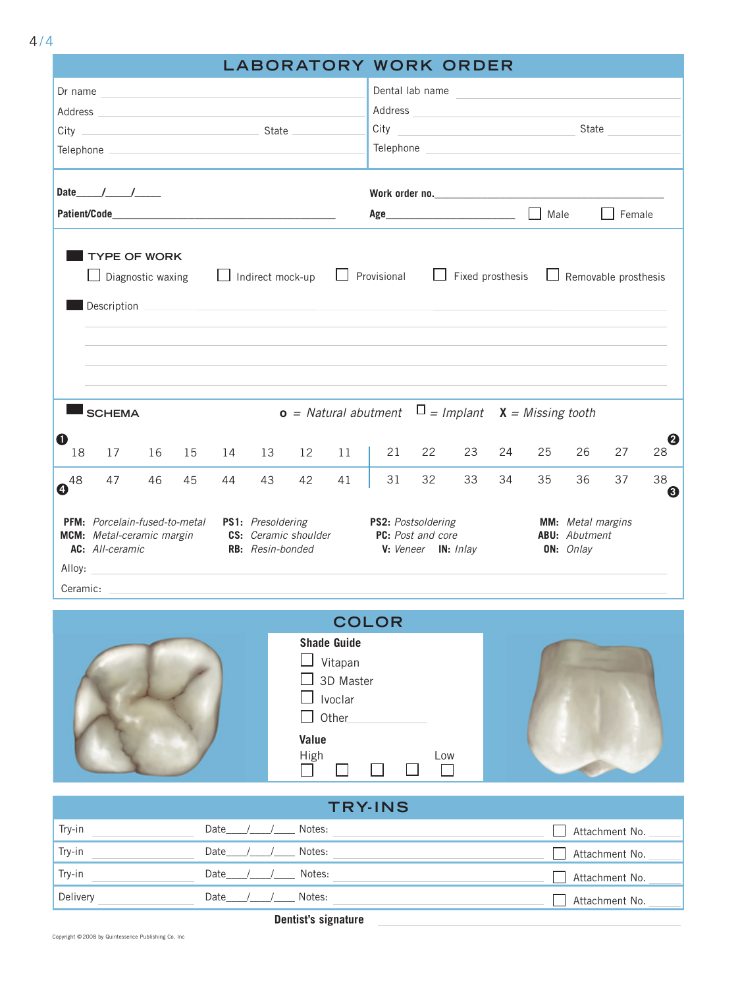|           |                                                                                                                                                                                                                                      |    |                                                   |    |                                       |                      |    |                                         |    | <b>LABORATORY WORK ORDER</b>                                                                                  |    |      |                                                                                                                      |                      |         |
|-----------|--------------------------------------------------------------------------------------------------------------------------------------------------------------------------------------------------------------------------------------|----|---------------------------------------------------|----|---------------------------------------|----------------------|----|-----------------------------------------|----|---------------------------------------------------------------------------------------------------------------|----|------|----------------------------------------------------------------------------------------------------------------------|----------------------|---------|
| Dr name   |                                                                                                                                                                                                                                      |    | <u> 1980 - Andrea State, amerikansk politik (</u> |    |                                       |                      |    | Dental lab name                         |    |                                                                                                               |    |      | <u> 1980 - Jan Stein Stein Stein Stein Stein Stein Stein Stein Stein Stein Stein Stein Stein Stein Stein Stein S</u> |                      |         |
|           |                                                                                                                                                                                                                                      |    |                                                   |    |                                       |                      |    | Address                                 |    | <u> 1989 - John Stein, mars and de Britannich (b. 1989)</u>                                                   |    |      |                                                                                                                      |                      |         |
|           |                                                                                                                                                                                                                                      |    |                                                   |    |                                       |                      |    | City                                    |    |                                                                                                               |    |      |                                                                                                                      | State                |         |
|           | Telephone <b>contract the contract of the contract of the contract of the contract of the contract of the contract of the contract of the contract of the contract of the contract of the contract of the contract of the contra</b> |    |                                                   |    |                                       |                      |    |                                         |    | Telephone and the contract of the contract of the contract of the contract of the contract of the contract of |    |      |                                                                                                                      |                      |         |
|           |                                                                                                                                                                                                                                      |    |                                                   |    |                                       |                      |    |                                         |    |                                                                                                               |    |      |                                                                                                                      |                      |         |
|           | Date $/$ / $/$                                                                                                                                                                                                                       |    |                                                   |    |                                       |                      |    |                                         |    |                                                                                                               |    |      |                                                                                                                      |                      |         |
|           |                                                                                                                                                                                                                                      |    |                                                   |    |                                       |                      |    |                                         |    |                                                                                                               |    | Male |                                                                                                                      | Female               |         |
|           | Diagnostic waxing<br>Description<br><b>SCHEMA</b>                                                                                                                                                                                    |    |                                                   |    | Indirect mock-up                      |                      |    | Provisional                             |    | Fixed prosthesis<br><b>o</b> = Natural abutment $\Box$ = Implant $X$ = Missing tooth                          |    |      |                                                                                                                      | Removable prosthesis |         |
|           |                                                                                                                                                                                                                                      |    |                                                   |    |                                       |                      |    |                                         |    |                                                                                                               |    |      |                                                                                                                      |                      |         |
| O<br>18   | 17                                                                                                                                                                                                                                   | 16 | 15                                                | 14 | 13                                    | 12                   | 11 | 21                                      | 22 | 23                                                                                                            | 24 | 25   | 26                                                                                                                   | 27                   | 0<br>28 |
| $10^{48}$ | 47                                                                                                                                                                                                                                   | 46 | 45                                                | 44 | 43                                    | 42                   | 41 | 31                                      | 32 | 33                                                                                                            | 34 | 35   | 36                                                                                                                   | 37                   | 38<br>6 |
| Ceramic:  | <b>PFM:</b> Porcelain-fused-to-metal<br>MCM: Metal-ceramic margin<br>AC: All-ceramic<br>Alloy:                                                                                                                                       |    |                                                   |    | PS1: Presoldering<br>RB: Resin-bonded | CS: Ceramic shoulder |    | PS2: Postsoldering<br>PC: Post and core |    | V: Veneer IN: Inlay                                                                                           |    |      | <b>MM:</b> Metal margins<br><b>ABU:</b> Abutment<br>ON: Onlay                                                        |                      |         |



|          | <b>TRY-INS</b>      |                |
|----------|---------------------|----------------|
| Try-in   | Date $/$<br>Notes:  | Attachment No. |
| Try-in   | Date<br>Notes:      | Attachment No. |
| Try-in   | Date<br>Notes:      | Attachment No. |
| Delivery | Date<br>Notes:      | Attachment No. |
|          | Dentist's signature |                |

Copyright © 2008 by Quintessence Publishing Co. Inc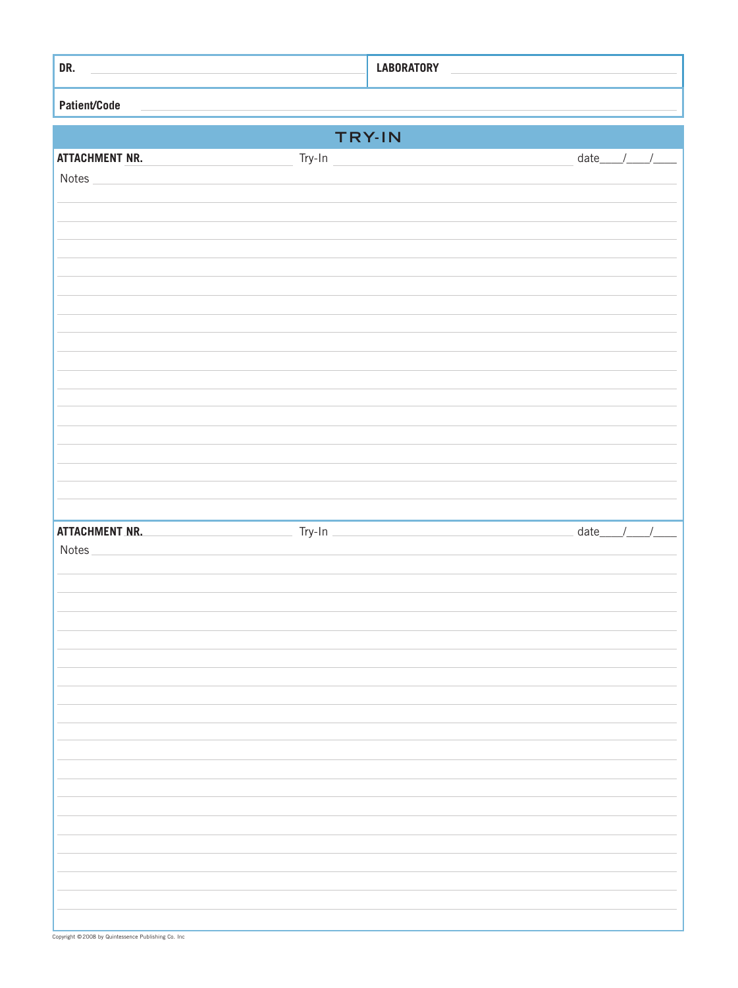| DR.                                                                 | <b>LABORATORY</b>                                                                                                                                                                                                                                                                                                                                                                                                           |
|---------------------------------------------------------------------|-----------------------------------------------------------------------------------------------------------------------------------------------------------------------------------------------------------------------------------------------------------------------------------------------------------------------------------------------------------------------------------------------------------------------------|
| Patient/Code                                                        |                                                                                                                                                                                                                                                                                                                                                                                                                             |
|                                                                     | TRY-IN                                                                                                                                                                                                                                                                                                                                                                                                                      |
| Try-In<br><b>ATTACHMENT NR.</b>                                     | $\begin{picture}(25,20) \put(0,0){\dashbox{0.5}(5,0){ }} \thicklines \put(0,0){\dashbox{0.5}(5,0){ }} \thicklines \put(0,0){\dashbox{0.5}(5,0){ }} \thicklines \put(0,0){\dashbox{0.5}(5,0){ }} \thicklines \put(0,0){\dashbox{0.5}(5,0){ }} \thicklines \put(0,0){\dashbox{0.5}(5,0){ }} \thicklines \put(0,0){\dashbox{0.5}(5,0){ }} \thicklines \put(0,0){\dashbox{0.5}(5,0){ }} \thicklines \put(0,0){\dashbox{0.5}(5,$ |
| Notes                                                               |                                                                                                                                                                                                                                                                                                                                                                                                                             |
|                                                                     |                                                                                                                                                                                                                                                                                                                                                                                                                             |
|                                                                     |                                                                                                                                                                                                                                                                                                                                                                                                                             |
|                                                                     |                                                                                                                                                                                                                                                                                                                                                                                                                             |
|                                                                     |                                                                                                                                                                                                                                                                                                                                                                                                                             |
|                                                                     |                                                                                                                                                                                                                                                                                                                                                                                                                             |
|                                                                     |                                                                                                                                                                                                                                                                                                                                                                                                                             |
|                                                                     |                                                                                                                                                                                                                                                                                                                                                                                                                             |
|                                                                     |                                                                                                                                                                                                                                                                                                                                                                                                                             |
|                                                                     |                                                                                                                                                                                                                                                                                                                                                                                                                             |
|                                                                     |                                                                                                                                                                                                                                                                                                                                                                                                                             |
|                                                                     |                                                                                                                                                                                                                                                                                                                                                                                                                             |
|                                                                     |                                                                                                                                                                                                                                                                                                                                                                                                                             |
| <b>ATTACHMENT NR.</b><br>$Try-In$<br><u> 1999 - Jan Ja</u><br>Notes | date____/____/____                                                                                                                                                                                                                                                                                                                                                                                                          |
|                                                                     |                                                                                                                                                                                                                                                                                                                                                                                                                             |
|                                                                     |                                                                                                                                                                                                                                                                                                                                                                                                                             |
|                                                                     |                                                                                                                                                                                                                                                                                                                                                                                                                             |
|                                                                     |                                                                                                                                                                                                                                                                                                                                                                                                                             |
|                                                                     |                                                                                                                                                                                                                                                                                                                                                                                                                             |
|                                                                     |                                                                                                                                                                                                                                                                                                                                                                                                                             |
|                                                                     |                                                                                                                                                                                                                                                                                                                                                                                                                             |
|                                                                     |                                                                                                                                                                                                                                                                                                                                                                                                                             |
|                                                                     |                                                                                                                                                                                                                                                                                                                                                                                                                             |
|                                                                     |                                                                                                                                                                                                                                                                                                                                                                                                                             |
|                                                                     |                                                                                                                                                                                                                                                                                                                                                                                                                             |
|                                                                     |                                                                                                                                                                                                                                                                                                                                                                                                                             |
|                                                                     |                                                                                                                                                                                                                                                                                                                                                                                                                             |
|                                                                     |                                                                                                                                                                                                                                                                                                                                                                                                                             |